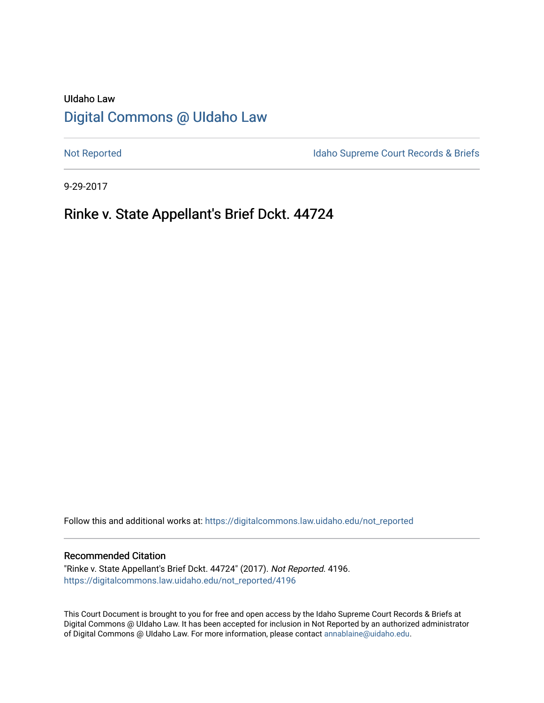# UIdaho Law [Digital Commons @ UIdaho Law](https://digitalcommons.law.uidaho.edu/)

[Not Reported](https://digitalcommons.law.uidaho.edu/not_reported) **Idaho Supreme Court Records & Briefs** 

9-29-2017

# Rinke v. State Appellant's Brief Dckt. 44724

Follow this and additional works at: [https://digitalcommons.law.uidaho.edu/not\\_reported](https://digitalcommons.law.uidaho.edu/not_reported?utm_source=digitalcommons.law.uidaho.edu%2Fnot_reported%2F4196&utm_medium=PDF&utm_campaign=PDFCoverPages) 

### Recommended Citation

"Rinke v. State Appellant's Brief Dckt. 44724" (2017). Not Reported. 4196. [https://digitalcommons.law.uidaho.edu/not\\_reported/4196](https://digitalcommons.law.uidaho.edu/not_reported/4196?utm_source=digitalcommons.law.uidaho.edu%2Fnot_reported%2F4196&utm_medium=PDF&utm_campaign=PDFCoverPages)

This Court Document is brought to you for free and open access by the Idaho Supreme Court Records & Briefs at Digital Commons @ UIdaho Law. It has been accepted for inclusion in Not Reported by an authorized administrator of Digital Commons @ UIdaho Law. For more information, please contact [annablaine@uidaho.edu](mailto:annablaine@uidaho.edu).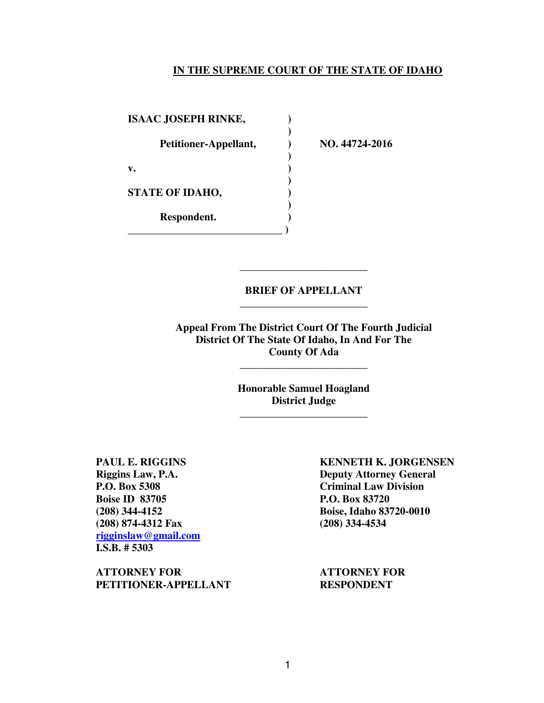### **IN THE SUPREME COURT OF THE STATE OF IDAHO**

**ISAAC JOSEPH RINKE, ) Petitioner-Appellant, ) NO. 44724-2016 ) v. ) ) STATE OF IDAHO, ) ) Respondent. ) \_\_\_\_\_\_\_\_\_\_\_\_\_\_\_\_\_\_\_\_\_\_\_\_\_\_\_\_\_ )** 

## **BRIEF OF APPELLANT**  \_\_\_\_\_\_\_\_\_\_\_\_\_\_\_\_\_\_\_\_\_\_\_\_

\_\_\_\_\_\_\_\_\_\_\_\_\_\_\_\_\_\_\_\_\_\_\_\_

**Appeal From The District Court Of The Fourth Judicial District Of The State Of Idaho, In And For The County Of Ada** 

> **Honorable Samuel Hoagland District Judge**  \_\_\_\_\_\_\_\_\_\_\_\_\_\_\_\_\_\_\_\_\_\_\_\_

\_\_\_\_\_\_\_\_\_\_\_\_\_\_\_\_\_\_\_\_\_\_\_\_

**Boise ID 83705** P.O. Box 83720 **(208) 874-4312 Fax (208) 334-4534 rigginslaw@gmail.com I.S.B. # 5303** 

**ATTORNEY FOR ATTORNEY FOR**  PETITIONER-APPELLANT RESPONDENT

**PAUL E. RIGGINS KENNETH K. JORGENSEN Riggins Law, P.A. Deputy Attorney General P.O. Box 5308 Criminal Law Division (208) 344-4152 Boise, Idaho 83720-0010**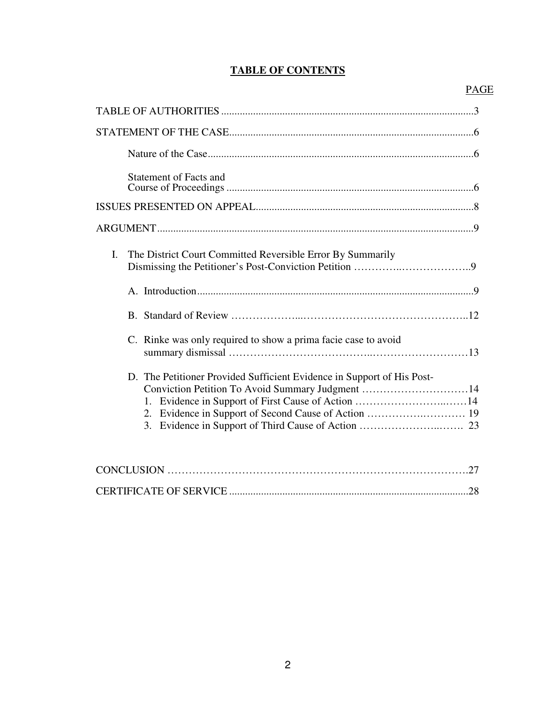## **TABLE OF CONTENTS**

## PAGE

| <b>Statement of Facts and</b>                                                                                              |
|----------------------------------------------------------------------------------------------------------------------------|
|                                                                                                                            |
|                                                                                                                            |
| The District Court Committed Reversible Error By Summarily<br>I.                                                           |
|                                                                                                                            |
|                                                                                                                            |
| C. Rinke was only required to show a prima facie case to avoid                                                             |
| D. The Petitioner Provided Sufficient Evidence in Support of His Post-<br>Conviction Petition To Avoid Summary Judgment 14 |
| 27<br>CONICI IICION                                                                                                        |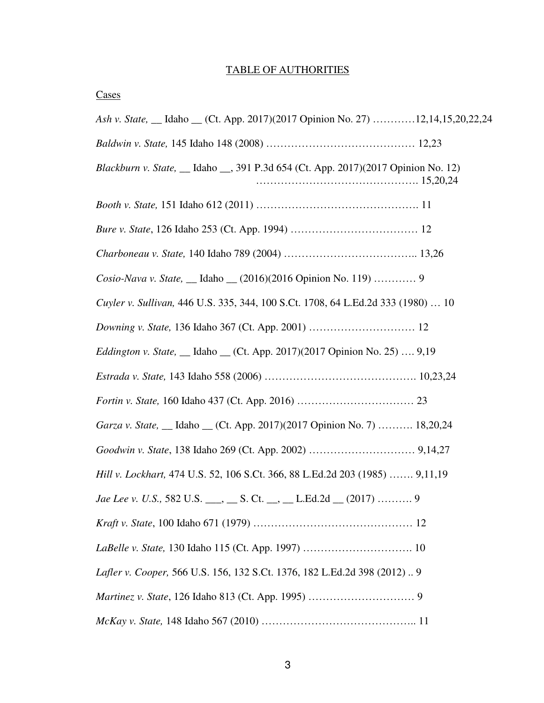## TABLE OF AUTHORITIES

# **Cases**

| Ash v. State, __ Idaho __ (Ct. App. 2017)(2017 Opinion No. 27) 12,14,15,20,22,24   |  |
|------------------------------------------------------------------------------------|--|
|                                                                                    |  |
| Blackburn v. State, __ Idaho __, 391 P.3d 654 (Ct. App. 2017)(2017 Opinion No. 12) |  |
|                                                                                    |  |
|                                                                                    |  |
|                                                                                    |  |
| Cosio-Nava v. State, __ Idaho __ (2016)(2016 Opinion No. 119)  9                   |  |
| Cuyler v. Sullivan, 446 U.S. 335, 344, 100 S.Ct. 1708, 64 L.Ed.2d 333 (1980)  10   |  |
|                                                                                    |  |
| <i>Eddington v. State</i> , __ Idaho __ (Ct. App. 2017)(2017 Opinion No. 25)  9,19 |  |
|                                                                                    |  |
|                                                                                    |  |
| Garza v. State, __ Idaho __ (Ct. App. 2017)(2017 Opinion No. 7)  18,20,24          |  |
|                                                                                    |  |
| Hill v. Lockhart, 474 U.S. 52, 106 S.Ct. 366, 88 L.Ed.2d 203 (1985)  9,11,19       |  |
| Jae Lee v. U.S., 582 U.S. ___, __ S. Ct. __, __ L.Ed.2d __ (2017)  9               |  |
|                                                                                    |  |
|                                                                                    |  |
| Lafler v. Cooper, 566 U.S. 156, 132 S.Ct. 1376, 182 L.Ed.2d 398 (2012) 9           |  |
|                                                                                    |  |
|                                                                                    |  |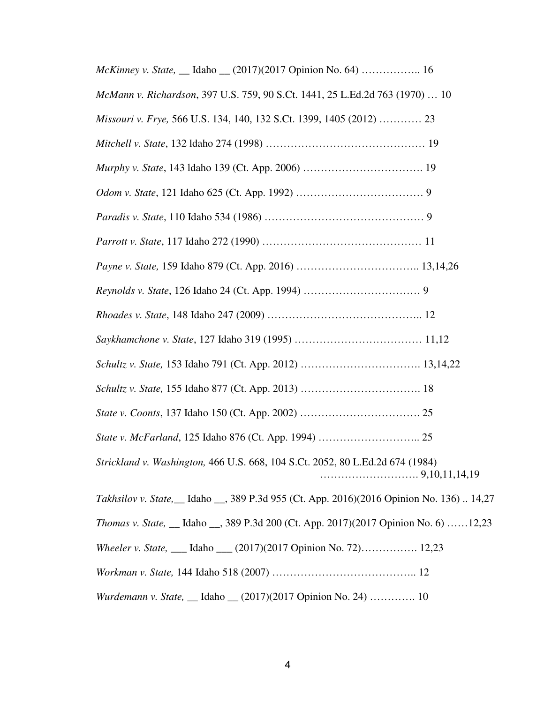| McKinney v. State, __ Idaho __ (2017)(2017 Opinion No. 64)  16                                     |
|----------------------------------------------------------------------------------------------------|
| McMann v. Richardson, 397 U.S. 759, 90 S.Ct. 1441, 25 L.Ed.2d 763 (1970)  10                       |
| Missouri v. Frye, 566 U.S. 134, 140, 132 S.Ct. 1399, 1405 (2012)  23                               |
|                                                                                                    |
|                                                                                                    |
|                                                                                                    |
|                                                                                                    |
|                                                                                                    |
|                                                                                                    |
|                                                                                                    |
|                                                                                                    |
|                                                                                                    |
|                                                                                                    |
|                                                                                                    |
|                                                                                                    |
|                                                                                                    |
| Strickland v. Washington, 466 U.S. 668, 104 S.Ct. 2052, 80 L.Ed.2d 674 (1984)                      |
| <i>Takhsilov v. State</i> , __ Idaho __, 389 P.3d 955 (Ct. App. 2016)(2016 Opinion No. 136)  14,27 |
| <i>Thomas v. State, _ Idaho _, 389 P.3d 200 (Ct. App. 2017)(2017 Opinion No. 6) 12,23</i>          |
| Wheeler v. State, ___ Idaho ___ (2017)(2017 Opinion No. 72) 12,23                                  |
|                                                                                                    |

*Wurdemann v. State,* \_\_ Idaho \_\_ (2017)(2017 Opinion No. 24) …………. 10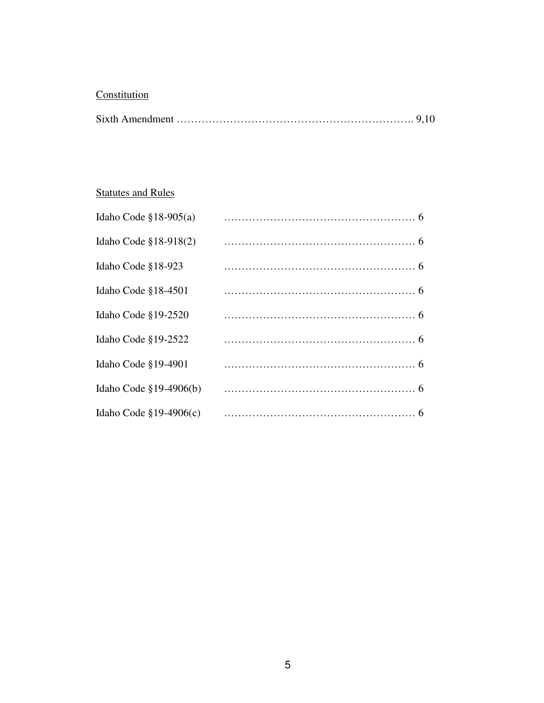# **Constitution**

|--|--|--|

# **Statutes and Rules**

| Idaho Code $$18-905(a)$    |  |
|----------------------------|--|
| Idaho Code $$18-918(2)$    |  |
| Idaho Code §18-923         |  |
| Idaho Code $$18-4501$      |  |
| Idaho Code §19-2520        |  |
| Idaho Code §19-2522        |  |
| Idaho Code §19-4901        |  |
| Idaho Code $\S19-4906(b)$  |  |
| Idaho Code $\S 19-4906(c)$ |  |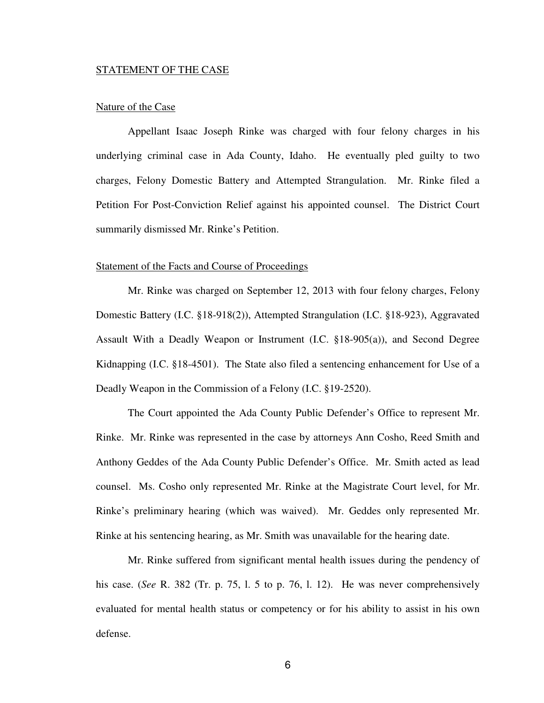#### STATEMENT OF THE CASE

### Nature of the Case

Appellant Isaac Joseph Rinke was charged with four felony charges in his underlying criminal case in Ada County, Idaho. He eventually pled guilty to two charges, Felony Domestic Battery and Attempted Strangulation. Mr. Rinke filed a Petition For Post-Conviction Relief against his appointed counsel. The District Court summarily dismissed Mr. Rinke's Petition.

#### Statement of the Facts and Course of Proceedings

Mr. Rinke was charged on September 12, 2013 with four felony charges, Felony Domestic Battery (I.C. §18-918(2)), Attempted Strangulation (I.C. §18-923), Aggravated Assault With a Deadly Weapon or Instrument (I.C. §18-905(a)), and Second Degree Kidnapping (I.C. §18-4501). The State also filed a sentencing enhancement for Use of a Deadly Weapon in the Commission of a Felony (I.C. §19-2520).

The Court appointed the Ada County Public Defender's Office to represent Mr. Rinke. Mr. Rinke was represented in the case by attorneys Ann Cosho, Reed Smith and Anthony Geddes of the Ada County Public Defender's Office. Mr. Smith acted as lead counsel. Ms. Cosho only represented Mr. Rinke at the Magistrate Court level, for Mr. Rinke's preliminary hearing (which was waived). Mr. Geddes only represented Mr. Rinke at his sentencing hearing, as Mr. Smith was unavailable for the hearing date.

Mr. Rinke suffered from significant mental health issues during the pendency of his case. (*See* R. 382 (Tr. p. 75, l. 5 to p. 76, l. 12). He was never comprehensively evaluated for mental health status or competency or for his ability to assist in his own defense.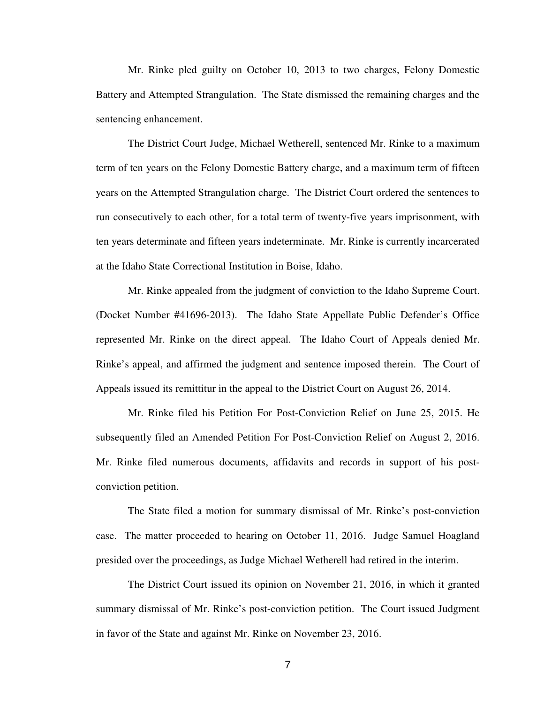Mr. Rinke pled guilty on October 10, 2013 to two charges, Felony Domestic Battery and Attempted Strangulation. The State dismissed the remaining charges and the sentencing enhancement.

The District Court Judge, Michael Wetherell, sentenced Mr. Rinke to a maximum term of ten years on the Felony Domestic Battery charge, and a maximum term of fifteen years on the Attempted Strangulation charge. The District Court ordered the sentences to run consecutively to each other, for a total term of twenty-five years imprisonment, with ten years determinate and fifteen years indeterminate. Mr. Rinke is currently incarcerated at the Idaho State Correctional Institution in Boise, Idaho.

Mr. Rinke appealed from the judgment of conviction to the Idaho Supreme Court. (Docket Number #41696-2013). The Idaho State Appellate Public Defender's Office represented Mr. Rinke on the direct appeal. The Idaho Court of Appeals denied Mr. Rinke's appeal, and affirmed the judgment and sentence imposed therein. The Court of Appeals issued its remittitur in the appeal to the District Court on August 26, 2014.

Mr. Rinke filed his Petition For Post-Conviction Relief on June 25, 2015. He subsequently filed an Amended Petition For Post-Conviction Relief on August 2, 2016. Mr. Rinke filed numerous documents, affidavits and records in support of his postconviction petition.

The State filed a motion for summary dismissal of Mr. Rinke's post-conviction case. The matter proceeded to hearing on October 11, 2016. Judge Samuel Hoagland presided over the proceedings, as Judge Michael Wetherell had retired in the interim.

The District Court issued its opinion on November 21, 2016, in which it granted summary dismissal of Mr. Rinke's post-conviction petition. The Court issued Judgment in favor of the State and against Mr. Rinke on November 23, 2016.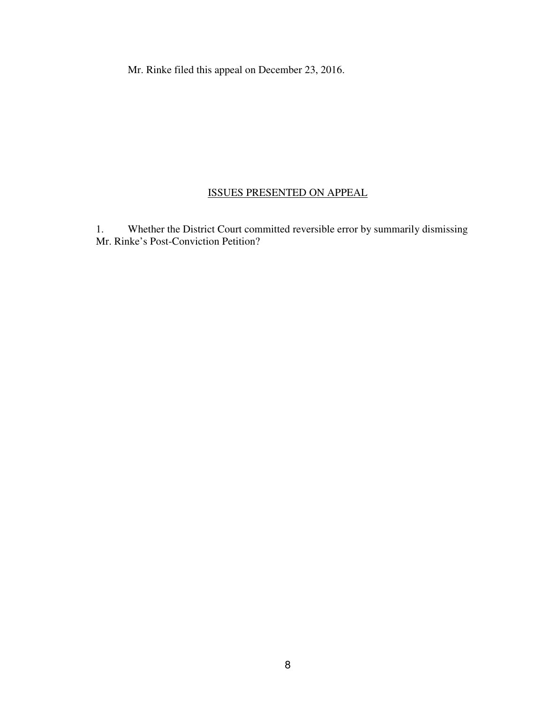Mr. Rinke filed this appeal on December 23, 2016.

## ISSUES PRESENTED ON APPEAL

1. Whether the District Court committed reversible error by summarily dismissing Mr. Rinke's Post-Conviction Petition?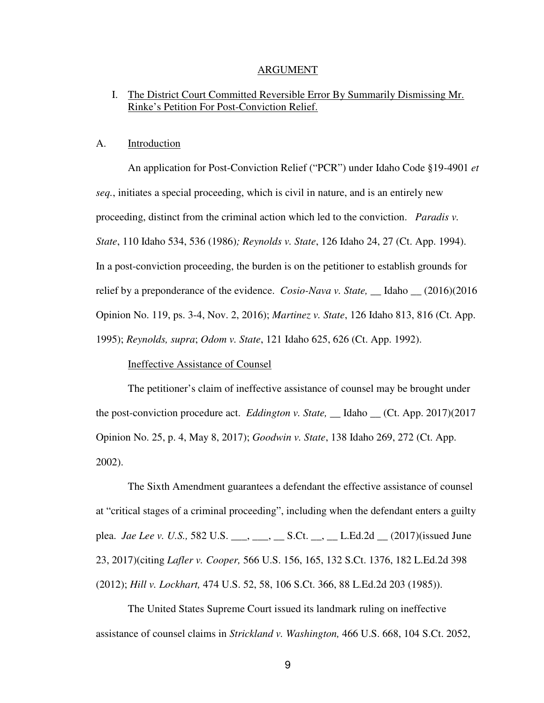#### ARGUMENT

### I. The District Court Committed Reversible Error By Summarily Dismissing Mr. Rinke's Petition For Post-Conviction Relief.

#### A. Introduction

An application for Post-Conviction Relief ("PCR") under Idaho Code §19-4901 *et seq.*, initiates a special proceeding, which is civil in nature, and is an entirely new proceeding, distinct from the criminal action which led to the conviction. *Paradis v. State*, 110 Idaho 534, 536 (1986)*; Reynolds v. State*, 126 Idaho 24, 27 (Ct. App. 1994). In a post-conviction proceeding, the burden is on the petitioner to establish grounds for relief by a preponderance of the evidence. *Cosio-Nava v. State,* \_\_ Idaho \_\_ (2016)(2016 Opinion No. 119, ps. 3-4, Nov. 2, 2016); *Martinez v. State*, 126 Idaho 813, 816 (Ct. App. 1995); *Reynolds, supra*; *Odom v. State*, 121 Idaho 625, 626 (Ct. App. 1992).

### Ineffective Assistance of Counsel

The petitioner's claim of ineffective assistance of counsel may be brought under the post-conviction procedure act. *Eddington v. State,* \_\_ Idaho \_\_ (Ct. App. 2017)(2017 Opinion No. 25, p. 4, May 8, 2017); *Goodwin v. State*, 138 Idaho 269, 272 (Ct. App. 2002).

The Sixth Amendment guarantees a defendant the effective assistance of counsel at "critical stages of a criminal proceeding", including when the defendant enters a guilty plea. *Jae Lee v. U.S.*, 582 U.S. \_\_\_, \_\_\_, \_\_\_ S.Ct. \_\_, \_\_ L.Ed.2d \_\_ (2017)(issued June 23, 2017)(citing *Lafler v. Cooper,* 566 U.S. 156, 165, 132 S.Ct. 1376, 182 L.Ed.2d 398 (2012); *Hill v. Lockhart,* 474 U.S. 52, 58, 106 S.Ct. 366, 88 L.Ed.2d 203 (1985)).

The United States Supreme Court issued its landmark ruling on ineffective assistance of counsel claims in *Strickland v. Washington,* 466 U.S. 668, 104 S.Ct. 2052,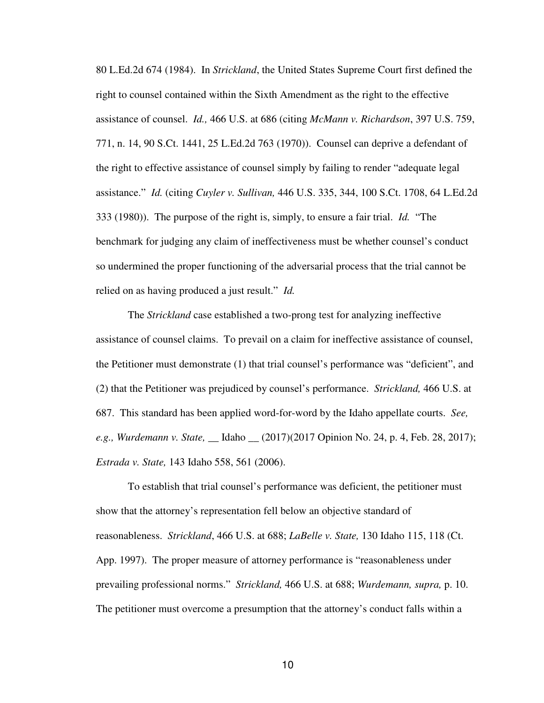80 L.Ed.2d 674 (1984). In *Strickland*, the United States Supreme Court first defined the right to counsel contained within the Sixth Amendment as the right to the effective assistance of counsel. *Id.,* 466 U.S. at 686 (citing *McMann v. Richardson*, 397 U.S. 759, 771, n. 14, 90 S.Ct. 1441, 25 L.Ed.2d 763 (1970)). Counsel can deprive a defendant of the right to effective assistance of counsel simply by failing to render "adequate legal assistance." *Id.* (citing *Cuyler v. Sullivan,* 446 U.S. 335, 344, 100 S.Ct. 1708, 64 L.Ed.2d 333 (1980)). The purpose of the right is, simply, to ensure a fair trial. *Id.* "The benchmark for judging any claim of ineffectiveness must be whether counsel's conduct so undermined the proper functioning of the adversarial process that the trial cannot be relied on as having produced a just result." *Id.* 

The *Strickland* case established a two-prong test for analyzing ineffective assistance of counsel claims. To prevail on a claim for ineffective assistance of counsel, the Petitioner must demonstrate (1) that trial counsel's performance was "deficient", and (2) that the Petitioner was prejudiced by counsel's performance. *Strickland,* 466 U.S. at 687. This standard has been applied word-for-word by the Idaho appellate courts. *See, e.g., Wurdemann v. State,* \_\_ Idaho \_\_ (2017)(2017 Opinion No. 24, p. 4, Feb. 28, 2017); *Estrada v. State,* 143 Idaho 558, 561 (2006).

To establish that trial counsel's performance was deficient, the petitioner must show that the attorney's representation fell below an objective standard of reasonableness. *Strickland*, 466 U.S. at 688; *LaBelle v. State,* 130 Idaho 115, 118 (Ct. App. 1997). The proper measure of attorney performance is "reasonableness under prevailing professional norms." *Strickland,* 466 U.S. at 688; *Wurdemann, supra,* p. 10. The petitioner must overcome a presumption that the attorney's conduct falls within a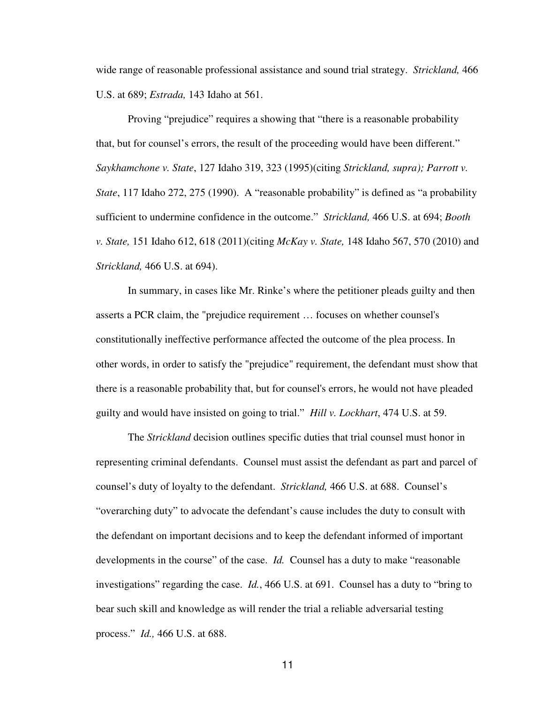wide range of reasonable professional assistance and sound trial strategy. *Strickland,* 466 U.S. at 689; *Estrada,* 143 Idaho at 561.

Proving "prejudice" requires a showing that "there is a reasonable probability that, but for counsel's errors, the result of the proceeding would have been different." *Saykhamchone v. State*, 127 Idaho 319, 323 (1995)(citing *Strickland, supra); Parrott v. State*, 117 Idaho 272, 275 (1990). A "reasonable probability" is defined as "a probability sufficient to undermine confidence in the outcome." *Strickland,* 466 U.S. at 694; *Booth v. State,* 151 Idaho 612, 618 (2011)(citing *McKay v. State,* 148 Idaho 567, 570 (2010) and *Strickland,* 466 U.S. at 694).

In summary, in cases like Mr. Rinke's where the petitioner pleads guilty and then asserts a PCR claim, the "prejudice requirement … focuses on whether counsel's constitutionally ineffective performance affected the outcome of the plea process. In other words, in order to satisfy the "prejudice" requirement, the defendant must show that there is a reasonable probability that, but for counsel's errors, he would not have pleaded guilty and would have insisted on going to trial." *Hill v. Lockhart*, 474 U.S. at 59.

The *Strickland* decision outlines specific duties that trial counsel must honor in representing criminal defendants. Counsel must assist the defendant as part and parcel of counsel's duty of loyalty to the defendant. *Strickland,* 466 U.S. at 688. Counsel's "overarching duty" to advocate the defendant's cause includes the duty to consult with the defendant on important decisions and to keep the defendant informed of important developments in the course" of the case. *Id.* Counsel has a duty to make "reasonable investigations" regarding the case. *Id.*, 466 U.S. at 691. Counsel has a duty to "bring to bear such skill and knowledge as will render the trial a reliable adversarial testing process." *Id.,* 466 U.S. at 688.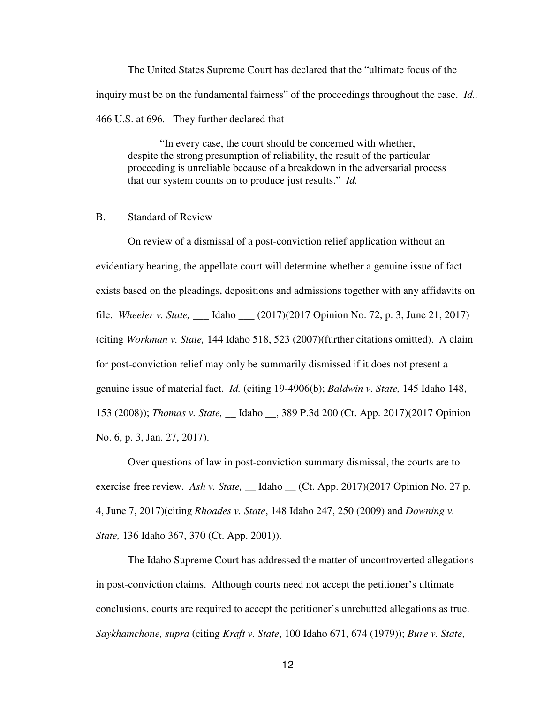The United States Supreme Court has declared that the "ultimate focus of the inquiry must be on the fundamental fairness" of the proceedings throughout the case. *Id.,*  466 U.S. at 696*.* They further declared that

"In every case, the court should be concerned with whether, despite the strong presumption of reliability, the result of the particular proceeding is unreliable because of a breakdown in the adversarial process that our system counts on to produce just results." *Id.* 

### B. Standard of Review

On review of a dismissal of a post-conviction relief application without an evidentiary hearing, the appellate court will determine whether a genuine issue of fact exists based on the pleadings, depositions and admissions together with any affidavits on file. *Wheeler v. State,* \_\_\_ Idaho \_\_\_ (2017)(2017 Opinion No. 72, p. 3, June 21, 2017) (citing *Workman v. State,* 144 Idaho 518, 523 (2007)(further citations omitted). A claim for post-conviction relief may only be summarily dismissed if it does not present a genuine issue of material fact. *Id.* (citing 19-4906(b); *Baldwin v. State,* 145 Idaho 148, 153 (2008)); *Thomas v. State,* \_\_ Idaho \_\_, 389 P.3d 200 (Ct. App. 2017)(2017 Opinion No. 6, p. 3, Jan. 27, 2017).

Over questions of law in post-conviction summary dismissal, the courts are to exercise free review. *Ash v. State*, \_\_ Idaho \_\_ (Ct. App. 2017)(2017 Opinion No. 27 p. 4, June 7, 2017)(citing *Rhoades v. State*, 148 Idaho 247, 250 (2009) and *Downing v. State,* 136 Idaho 367, 370 (Ct. App. 2001)).

The Idaho Supreme Court has addressed the matter of uncontroverted allegations in post-conviction claims. Although courts need not accept the petitioner's ultimate conclusions, courts are required to accept the petitioner's unrebutted allegations as true. *Saykhamchone, supra* (citing *Kraft v. State*, 100 Idaho 671, 674 (1979)); *Bure v. State*,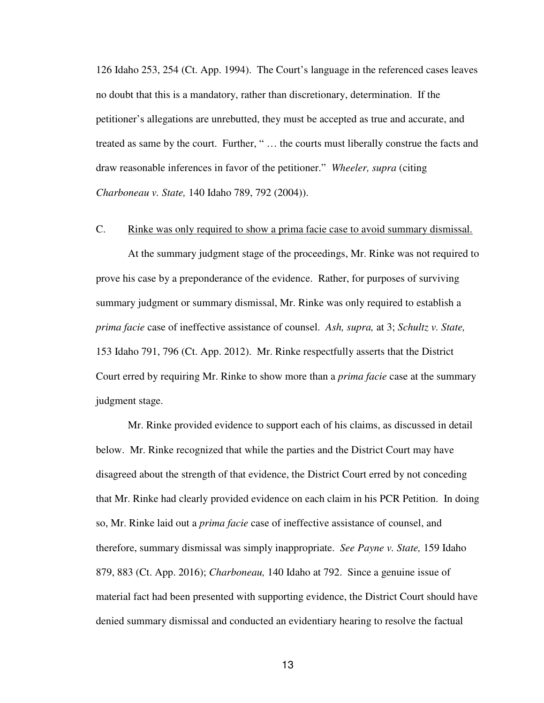126 Idaho 253, 254 (Ct. App. 1994). The Court's language in the referenced cases leaves no doubt that this is a mandatory, rather than discretionary, determination. If the petitioner's allegations are unrebutted, they must be accepted as true and accurate, and treated as same by the court. Further, " … the courts must liberally construe the facts and draw reasonable inferences in favor of the petitioner." *Wheeler, supra* (citing *Charboneau v. State,* 140 Idaho 789, 792 (2004)).

## C. Rinke was only required to show a prima facie case to avoid summary dismissal.

At the summary judgment stage of the proceedings, Mr. Rinke was not required to prove his case by a preponderance of the evidence. Rather, for purposes of surviving summary judgment or summary dismissal, Mr. Rinke was only required to establish a *prima facie* case of ineffective assistance of counsel. *Ash, supra,* at 3; *Schultz v. State,*  153 Idaho 791, 796 (Ct. App. 2012). Mr. Rinke respectfully asserts that the District Court erred by requiring Mr. Rinke to show more than a *prima facie* case at the summary judgment stage.

Mr. Rinke provided evidence to support each of his claims, as discussed in detail below. Mr. Rinke recognized that while the parties and the District Court may have disagreed about the strength of that evidence, the District Court erred by not conceding that Mr. Rinke had clearly provided evidence on each claim in his PCR Petition. In doing so, Mr. Rinke laid out a *prima facie* case of ineffective assistance of counsel, and therefore, summary dismissal was simply inappropriate. *See Payne v. State,* 159 Idaho 879, 883 (Ct. App. 2016); *Charboneau,* 140 Idaho at 792. Since a genuine issue of material fact had been presented with supporting evidence, the District Court should have denied summary dismissal and conducted an evidentiary hearing to resolve the factual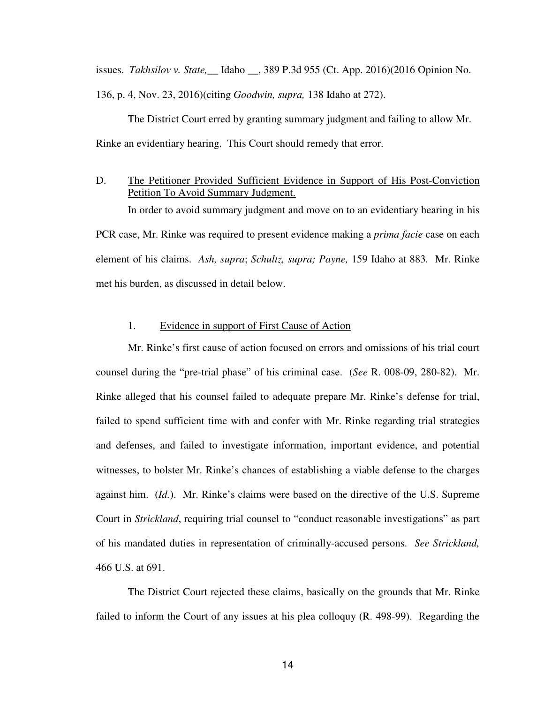issues. *Takhsilov v. State,*\_\_ Idaho \_\_, 389 P.3d 955 (Ct. App. 2016)(2016 Opinion No.

136, p. 4, Nov. 23, 2016)(citing *Goodwin, supra,* 138 Idaho at 272).

The District Court erred by granting summary judgment and failing to allow Mr. Rinke an evidentiary hearing. This Court should remedy that error.

### D. The Petitioner Provided Sufficient Evidence in Support of His Post-Conviction Petition To Avoid Summary Judgment.

In order to avoid summary judgment and move on to an evidentiary hearing in his PCR case, Mr. Rinke was required to present evidence making a *prima facie* case on each element of his claims. *Ash, supra*; *Schultz, supra; Payne,* 159 Idaho at 883*.* Mr. Rinke met his burden, as discussed in detail below.

### 1. Evidence in support of First Cause of Action

Mr. Rinke's first cause of action focused on errors and omissions of his trial court counsel during the "pre-trial phase" of his criminal case. (*See* R. 008-09, 280-82). Mr. Rinke alleged that his counsel failed to adequate prepare Mr. Rinke's defense for trial, failed to spend sufficient time with and confer with Mr. Rinke regarding trial strategies and defenses, and failed to investigate information, important evidence, and potential witnesses, to bolster Mr. Rinke's chances of establishing a viable defense to the charges against him. (*Id.*). Mr. Rinke's claims were based on the directive of the U.S. Supreme Court in *Strickland*, requiring trial counsel to "conduct reasonable investigations" as part of his mandated duties in representation of criminally-accused persons. *See Strickland,*  466 U.S. at 691.

The District Court rejected these claims, basically on the grounds that Mr. Rinke failed to inform the Court of any issues at his plea colloquy (R. 498-99). Regarding the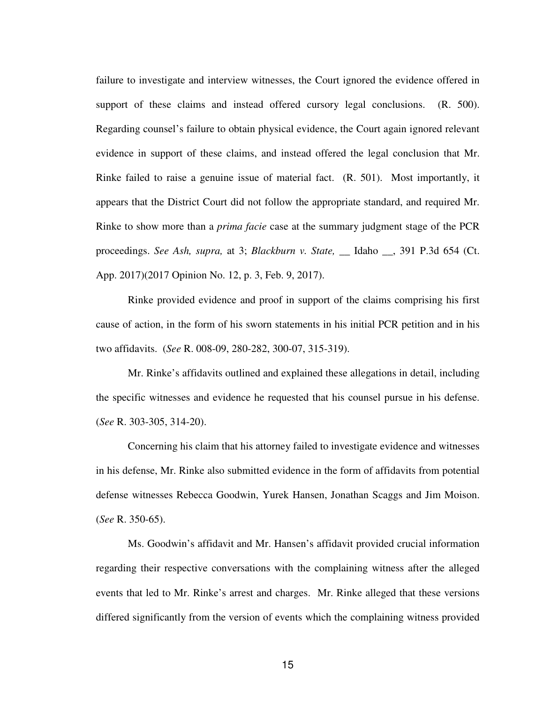failure to investigate and interview witnesses, the Court ignored the evidence offered in support of these claims and instead offered cursory legal conclusions. (R. 500). Regarding counsel's failure to obtain physical evidence, the Court again ignored relevant evidence in support of these claims, and instead offered the legal conclusion that Mr. Rinke failed to raise a genuine issue of material fact. (R. 501). Most importantly, it appears that the District Court did not follow the appropriate standard, and required Mr. Rinke to show more than a *prima facie* case at the summary judgment stage of the PCR proceedings. *See Ash, supra,* at 3; *Blackburn v. State,* \_\_ Idaho \_\_, 391 P.3d 654 (Ct. App. 2017)(2017 Opinion No. 12, p. 3, Feb. 9, 2017).

Rinke provided evidence and proof in support of the claims comprising his first cause of action, in the form of his sworn statements in his initial PCR petition and in his two affidavits. (*See* R. 008-09, 280-282, 300-07, 315-319).

Mr. Rinke's affidavits outlined and explained these allegations in detail, including the specific witnesses and evidence he requested that his counsel pursue in his defense. (*See* R. 303-305, 314-20).

Concerning his claim that his attorney failed to investigate evidence and witnesses in his defense, Mr. Rinke also submitted evidence in the form of affidavits from potential defense witnesses Rebecca Goodwin, Yurek Hansen, Jonathan Scaggs and Jim Moison. (*See* R. 350-65).

Ms. Goodwin's affidavit and Mr. Hansen's affidavit provided crucial information regarding their respective conversations with the complaining witness after the alleged events that led to Mr. Rinke's arrest and charges. Mr. Rinke alleged that these versions differed significantly from the version of events which the complaining witness provided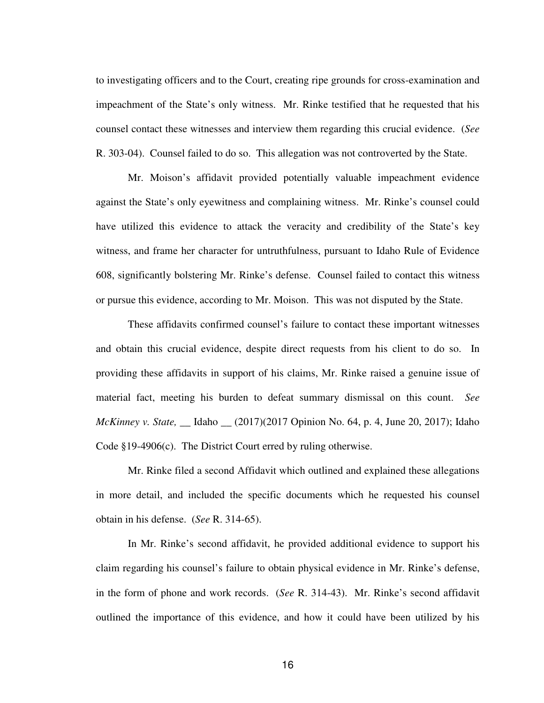to investigating officers and to the Court, creating ripe grounds for cross-examination and impeachment of the State's only witness. Mr. Rinke testified that he requested that his counsel contact these witnesses and interview them regarding this crucial evidence. (*See*  R. 303-04). Counsel failed to do so. This allegation was not controverted by the State.

Mr. Moison's affidavit provided potentially valuable impeachment evidence against the State's only eyewitness and complaining witness. Mr. Rinke's counsel could have utilized this evidence to attack the veracity and credibility of the State's key witness, and frame her character for untruthfulness, pursuant to Idaho Rule of Evidence 608, significantly bolstering Mr. Rinke's defense. Counsel failed to contact this witness or pursue this evidence, according to Mr. Moison. This was not disputed by the State.

These affidavits confirmed counsel's failure to contact these important witnesses and obtain this crucial evidence, despite direct requests from his client to do so. In providing these affidavits in support of his claims, Mr. Rinke raised a genuine issue of material fact, meeting his burden to defeat summary dismissal on this count. *See McKinney v. State,* \_\_ Idaho \_\_ (2017)(2017 Opinion No. 64, p. 4, June 20, 2017); Idaho Code §19-4906(c). The District Court erred by ruling otherwise.

Mr. Rinke filed a second Affidavit which outlined and explained these allegations in more detail, and included the specific documents which he requested his counsel obtain in his defense. (*See* R. 314-65).

In Mr. Rinke's second affidavit, he provided additional evidence to support his claim regarding his counsel's failure to obtain physical evidence in Mr. Rinke's defense, in the form of phone and work records. (*See* R. 314-43). Mr. Rinke's second affidavit outlined the importance of this evidence, and how it could have been utilized by his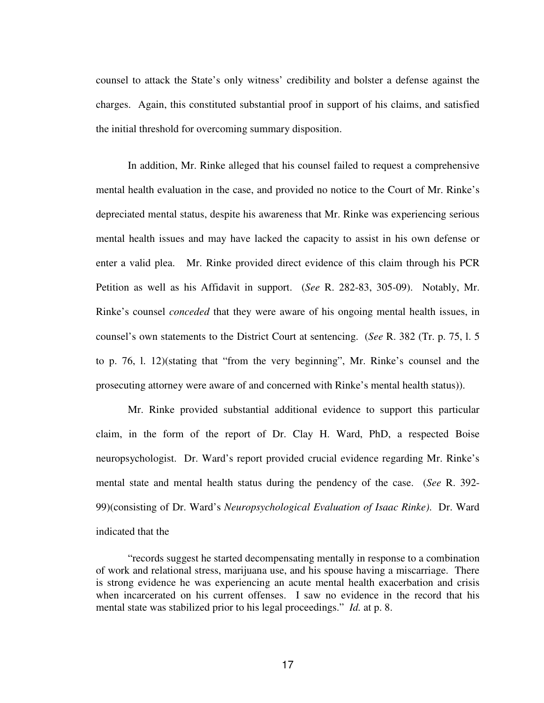counsel to attack the State's only witness' credibility and bolster a defense against the charges. Again, this constituted substantial proof in support of his claims, and satisfied the initial threshold for overcoming summary disposition.

In addition, Mr. Rinke alleged that his counsel failed to request a comprehensive mental health evaluation in the case, and provided no notice to the Court of Mr. Rinke's depreciated mental status, despite his awareness that Mr. Rinke was experiencing serious mental health issues and may have lacked the capacity to assist in his own defense or enter a valid plea. Mr. Rinke provided direct evidence of this claim through his PCR Petition as well as his Affidavit in support. (*See* R. 282-83, 305-09). Notably, Mr. Rinke's counsel *conceded* that they were aware of his ongoing mental health issues, in counsel's own statements to the District Court at sentencing. (*See* R. 382 (Tr. p. 75, l. 5 to p. 76, l. 12)(stating that "from the very beginning", Mr. Rinke's counsel and the prosecuting attorney were aware of and concerned with Rinke's mental health status)).

Mr. Rinke provided substantial additional evidence to support this particular claim, in the form of the report of Dr. Clay H. Ward, PhD, a respected Boise neuropsychologist. Dr. Ward's report provided crucial evidence regarding Mr. Rinke's mental state and mental health status during the pendency of the case. (*See* R. 392- 99)(consisting of Dr. Ward's *Neuropsychological Evaluation of Isaac Rinke)*. Dr. Ward indicated that the

<sup>&</sup>quot;records suggest he started decompensating mentally in response to a combination of work and relational stress, marijuana use, and his spouse having a miscarriage. There is strong evidence he was experiencing an acute mental health exacerbation and crisis when incarcerated on his current offenses. I saw no evidence in the record that his mental state was stabilized prior to his legal proceedings." *Id.* at p. 8.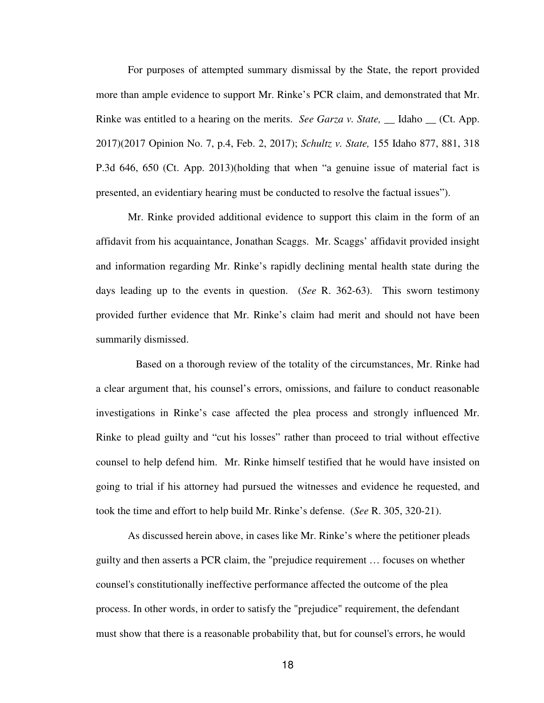For purposes of attempted summary dismissal by the State, the report provided more than ample evidence to support Mr. Rinke's PCR claim, and demonstrated that Mr. Rinke was entitled to a hearing on the merits. *See Garza v. State*, Idaho (Ct. App.) 2017)(2017 Opinion No. 7, p.4, Feb. 2, 2017); *Schultz v. State,* 155 Idaho 877, 881, 318 P.3d 646, 650 (Ct. App. 2013)(holding that when "a genuine issue of material fact is presented, an evidentiary hearing must be conducted to resolve the factual issues").

Mr. Rinke provided additional evidence to support this claim in the form of an affidavit from his acquaintance, Jonathan Scaggs. Mr. Scaggs' affidavit provided insight and information regarding Mr. Rinke's rapidly declining mental health state during the days leading up to the events in question. (*See* R. 362-63). This sworn testimony provided further evidence that Mr. Rinke's claim had merit and should not have been summarily dismissed.

 Based on a thorough review of the totality of the circumstances, Mr. Rinke had a clear argument that, his counsel's errors, omissions, and failure to conduct reasonable investigations in Rinke's case affected the plea process and strongly influenced Mr. Rinke to plead guilty and "cut his losses" rather than proceed to trial without effective counsel to help defend him. Mr. Rinke himself testified that he would have insisted on going to trial if his attorney had pursued the witnesses and evidence he requested, and took the time and effort to help build Mr. Rinke's defense. (*See* R. 305, 320-21).

As discussed herein above, in cases like Mr. Rinke's where the petitioner pleads guilty and then asserts a PCR claim, the "prejudice requirement … focuses on whether counsel's constitutionally ineffective performance affected the outcome of the plea process. In other words, in order to satisfy the "prejudice" requirement, the defendant must show that there is a reasonable probability that, but for counsel's errors, he would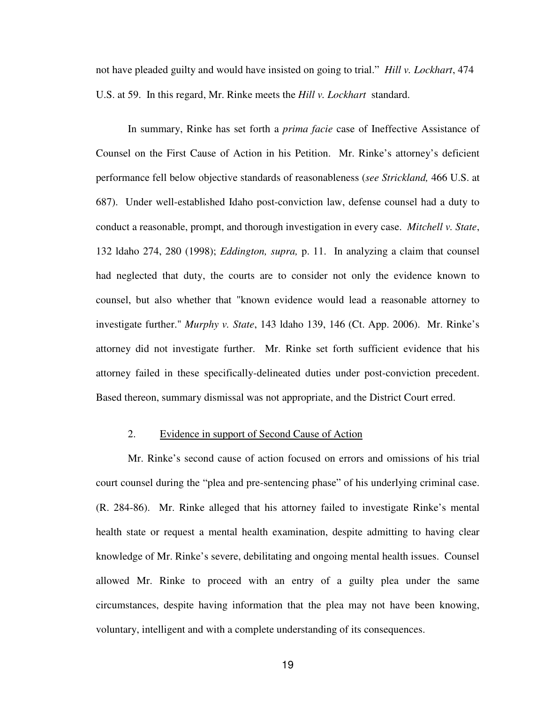not have pleaded guilty and would have insisted on going to trial." *Hill v. Lockhart*, 474 U.S. at 59. In this regard, Mr. Rinke meets the *Hill v. Lockhart* standard.

In summary, Rinke has set forth a *prima facie* case of Ineffective Assistance of Counsel on the First Cause of Action in his Petition. Mr. Rinke's attorney's deficient performance fell below objective standards of reasonableness (*see Strickland,* 466 U.S. at 687). Under well-established Idaho post-conviction law, defense counsel had a duty to conduct a reasonable, prompt, and thorough investigation in every case. *Mitchell v. State*, 132 ldaho 274, 280 (1998); *Eddington, supra,* p. 11. In analyzing a claim that counsel had neglected that duty, the courts are to consider not only the evidence known to counsel, but also whether that "known evidence would lead a reasonable attorney to investigate further." *Murphy v. State*, 143 ldaho 139, 146 (Ct. App. 2006). Mr. Rinke's attorney did not investigate further. Mr. Rinke set forth sufficient evidence that his attorney failed in these specifically-delineated duties under post-conviction precedent. Based thereon, summary dismissal was not appropriate, and the District Court erred.

### 2. Evidence in support of Second Cause of Action

Mr. Rinke's second cause of action focused on errors and omissions of his trial court counsel during the "plea and pre-sentencing phase" of his underlying criminal case. (R. 284-86). Mr. Rinke alleged that his attorney failed to investigate Rinke's mental health state or request a mental health examination, despite admitting to having clear knowledge of Mr. Rinke's severe, debilitating and ongoing mental health issues. Counsel allowed Mr. Rinke to proceed with an entry of a guilty plea under the same circumstances, despite having information that the plea may not have been knowing, voluntary, intelligent and with a complete understanding of its consequences.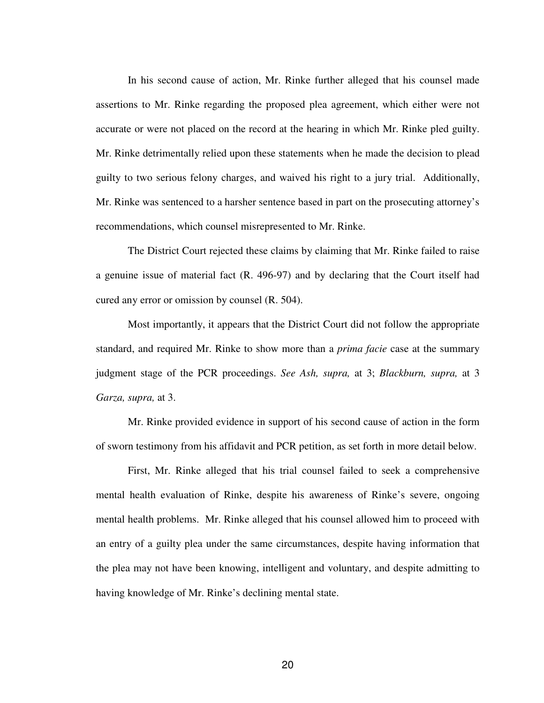In his second cause of action, Mr. Rinke further alleged that his counsel made assertions to Mr. Rinke regarding the proposed plea agreement, which either were not accurate or were not placed on the record at the hearing in which Mr. Rinke pled guilty. Mr. Rinke detrimentally relied upon these statements when he made the decision to plead guilty to two serious felony charges, and waived his right to a jury trial. Additionally, Mr. Rinke was sentenced to a harsher sentence based in part on the prosecuting attorney's recommendations, which counsel misrepresented to Mr. Rinke.

The District Court rejected these claims by claiming that Mr. Rinke failed to raise a genuine issue of material fact (R. 496-97) and by declaring that the Court itself had cured any error or omission by counsel (R. 504).

Most importantly, it appears that the District Court did not follow the appropriate standard, and required Mr. Rinke to show more than a *prima facie* case at the summary judgment stage of the PCR proceedings. *See Ash, supra,* at 3; *Blackburn, supra,* at 3 *Garza, supra,* at 3.

Mr. Rinke provided evidence in support of his second cause of action in the form of sworn testimony from his affidavit and PCR petition, as set forth in more detail below.

First, Mr. Rinke alleged that his trial counsel failed to seek a comprehensive mental health evaluation of Rinke, despite his awareness of Rinke's severe, ongoing mental health problems. Mr. Rinke alleged that his counsel allowed him to proceed with an entry of a guilty plea under the same circumstances, despite having information that the plea may not have been knowing, intelligent and voluntary, and despite admitting to having knowledge of Mr. Rinke's declining mental state.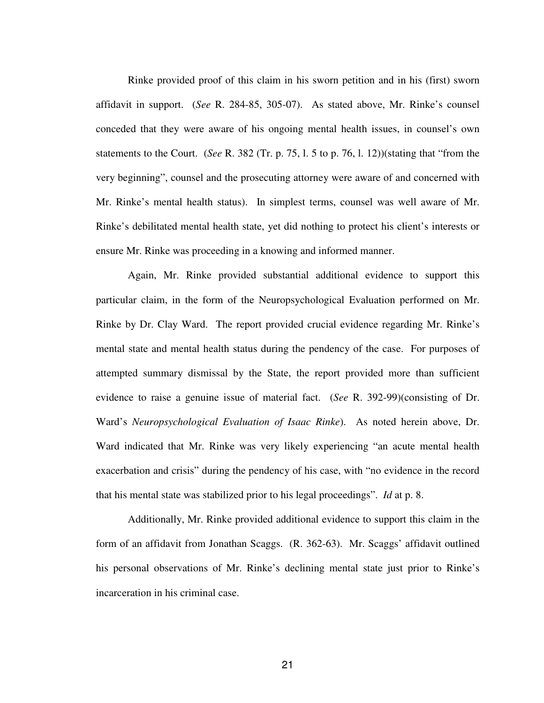Rinke provided proof of this claim in his sworn petition and in his (first) sworn affidavit in support. (*See* R. 284-85, 305-07). As stated above, Mr. Rinke's counsel conceded that they were aware of his ongoing mental health issues, in counsel's own statements to the Court. (*See* R. 382 (Tr. p. 75, l. 5 to p. 76, l. 12))(stating that "from the very beginning", counsel and the prosecuting attorney were aware of and concerned with Mr. Rinke's mental health status). In simplest terms, counsel was well aware of Mr. Rinke's debilitated mental health state, yet did nothing to protect his client's interests or ensure Mr. Rinke was proceeding in a knowing and informed manner.

Again, Mr. Rinke provided substantial additional evidence to support this particular claim, in the form of the Neuropsychological Evaluation performed on Mr. Rinke by Dr. Clay Ward. The report provided crucial evidence regarding Mr. Rinke's mental state and mental health status during the pendency of the case. For purposes of attempted summary dismissal by the State, the report provided more than sufficient evidence to raise a genuine issue of material fact. (*See* R. 392-99)(consisting of Dr. Ward's *Neuropsychological Evaluation of Isaac Rinke*). As noted herein above, Dr. Ward indicated that Mr. Rinke was very likely experiencing "an acute mental health exacerbation and crisis" during the pendency of his case, with "no evidence in the record that his mental state was stabilized prior to his legal proceedings". *Id* at p. 8.

Additionally, Mr. Rinke provided additional evidence to support this claim in the form of an affidavit from Jonathan Scaggs. (R. 362-63). Mr. Scaggs' affidavit outlined his personal observations of Mr. Rinke's declining mental state just prior to Rinke's incarceration in his criminal case.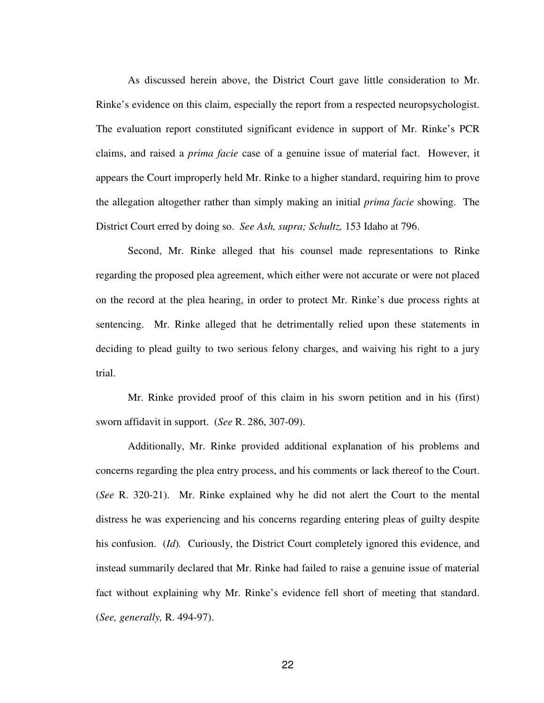As discussed herein above, the District Court gave little consideration to Mr. Rinke's evidence on this claim, especially the report from a respected neuropsychologist. The evaluation report constituted significant evidence in support of Mr. Rinke's PCR claims, and raised a *prima facie* case of a genuine issue of material fact. However, it appears the Court improperly held Mr. Rinke to a higher standard, requiring him to prove the allegation altogether rather than simply making an initial *prima facie* showing. The District Court erred by doing so. *See Ash, supra; Schultz,* 153 Idaho at 796.

Second, Mr. Rinke alleged that his counsel made representations to Rinke regarding the proposed plea agreement, which either were not accurate or were not placed on the record at the plea hearing, in order to protect Mr. Rinke's due process rights at sentencing. Mr. Rinke alleged that he detrimentally relied upon these statements in deciding to plead guilty to two serious felony charges, and waiving his right to a jury trial.

Mr. Rinke provided proof of this claim in his sworn petition and in his (first) sworn affidavit in support. (*See* R. 286, 307-09).

Additionally, Mr. Rinke provided additional explanation of his problems and concerns regarding the plea entry process, and his comments or lack thereof to the Court. (*See* R. 320-21). Mr. Rinke explained why he did not alert the Court to the mental distress he was experiencing and his concerns regarding entering pleas of guilty despite his confusion. (*Id*)*.* Curiously, the District Court completely ignored this evidence, and instead summarily declared that Mr. Rinke had failed to raise a genuine issue of material fact without explaining why Mr. Rinke's evidence fell short of meeting that standard. (*See, generally,* R. 494-97).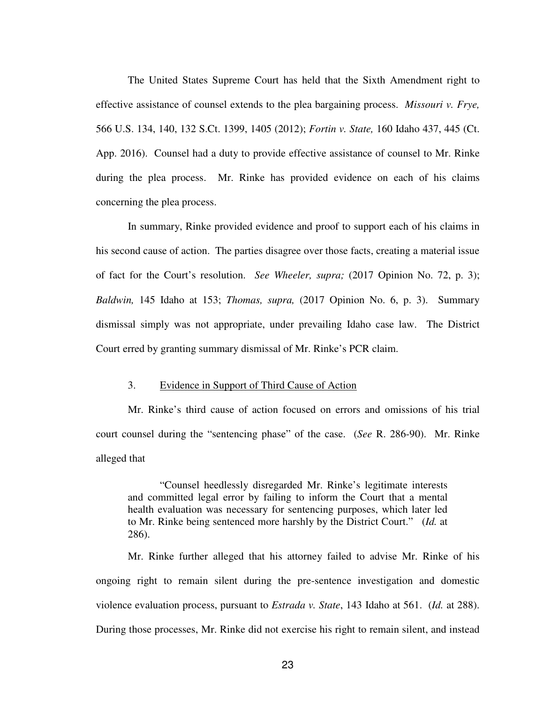The United States Supreme Court has held that the Sixth Amendment right to effective assistance of counsel extends to the plea bargaining process. *Missouri v. Frye,*  566 U.S. 134, 140, 132 S.Ct. 1399, 1405 (2012); *Fortin v. State,* 160 Idaho 437, 445 (Ct. App. 2016). Counsel had a duty to provide effective assistance of counsel to Mr. Rinke during the plea process. Mr. Rinke has provided evidence on each of his claims concerning the plea process.

In summary, Rinke provided evidence and proof to support each of his claims in his second cause of action. The parties disagree over those facts, creating a material issue of fact for the Court's resolution. *See Wheeler, supra;* (2017 Opinion No. 72, p. 3); *Baldwin,* 145 Idaho at 153; *Thomas, supra,* (2017 Opinion No. 6, p. 3). Summary dismissal simply was not appropriate, under prevailing Idaho case law. The District Court erred by granting summary dismissal of Mr. Rinke's PCR claim.

### 3. Evidence in Support of Third Cause of Action

Mr. Rinke's third cause of action focused on errors and omissions of his trial court counsel during the "sentencing phase" of the case. (*See* R. 286-90). Mr. Rinke alleged that

"Counsel heedlessly disregarded Mr. Rinke's legitimate interests and committed legal error by failing to inform the Court that a mental health evaluation was necessary for sentencing purposes, which later led to Mr. Rinke being sentenced more harshly by the District Court." (*Id.* at 286).

Mr. Rinke further alleged that his attorney failed to advise Mr. Rinke of his ongoing right to remain silent during the pre-sentence investigation and domestic violence evaluation process, pursuant to *Estrada v. State*, 143 Idaho at 561. (*Id.* at 288). During those processes, Mr. Rinke did not exercise his right to remain silent, and instead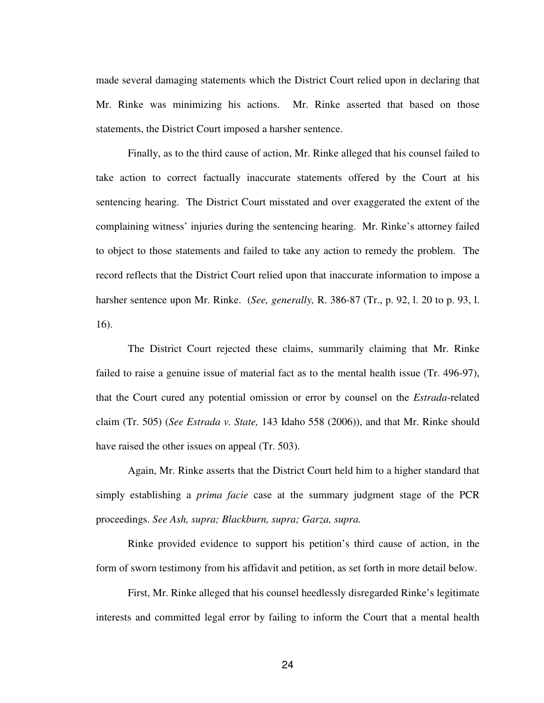made several damaging statements which the District Court relied upon in declaring that Mr. Rinke was minimizing his actions. Mr. Rinke asserted that based on those statements, the District Court imposed a harsher sentence.

Finally, as to the third cause of action, Mr. Rinke alleged that his counsel failed to take action to correct factually inaccurate statements offered by the Court at his sentencing hearing. The District Court misstated and over exaggerated the extent of the complaining witness' injuries during the sentencing hearing. Mr. Rinke's attorney failed to object to those statements and failed to take any action to remedy the problem. The record reflects that the District Court relied upon that inaccurate information to impose a harsher sentence upon Mr. Rinke. (*See, generally,* R. 386-87 (Tr., p. 92, l. 20 to p. 93, l. 16).

The District Court rejected these claims, summarily claiming that Mr. Rinke failed to raise a genuine issue of material fact as to the mental health issue (Tr. 496-97), that the Court cured any potential omission or error by counsel on the *Estrada*-related claim (Tr. 505) (*See Estrada v. State,* 143 Idaho 558 (2006)), and that Mr. Rinke should have raised the other issues on appeal (Tr. 503).

Again, Mr. Rinke asserts that the District Court held him to a higher standard that simply establishing a *prima facie* case at the summary judgment stage of the PCR proceedings. *See Ash, supra; Blackburn, supra; Garza, supra.* 

Rinke provided evidence to support his petition's third cause of action, in the form of sworn testimony from his affidavit and petition, as set forth in more detail below.

First, Mr. Rinke alleged that his counsel heedlessly disregarded Rinke's legitimate interests and committed legal error by failing to inform the Court that a mental health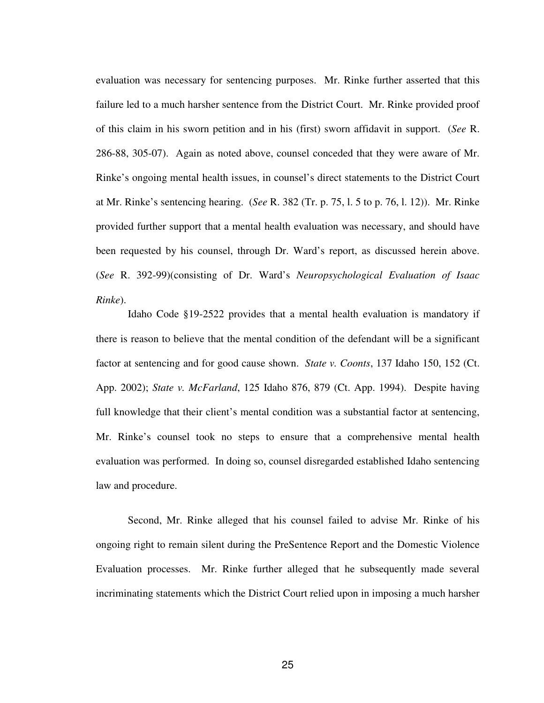evaluation was necessary for sentencing purposes. Mr. Rinke further asserted that this failure led to a much harsher sentence from the District Court. Mr. Rinke provided proof of this claim in his sworn petition and in his (first) sworn affidavit in support. (*See* R. 286-88, 305-07). Again as noted above, counsel conceded that they were aware of Mr. Rinke's ongoing mental health issues, in counsel's direct statements to the District Court at Mr. Rinke's sentencing hearing. (*See* R. 382 (Tr. p. 75, l. 5 to p. 76, l. 12)). Mr. Rinke provided further support that a mental health evaluation was necessary, and should have been requested by his counsel, through Dr. Ward's report, as discussed herein above. (*See* R. 392-99)(consisting of Dr. Ward's *Neuropsychological Evaluation of Isaac Rinke*).

Idaho Code §19-2522 provides that a mental health evaluation is mandatory if there is reason to believe that the mental condition of the defendant will be a significant factor at sentencing and for good cause shown. *State v. Coonts*, 137 Idaho 150, 152 (Ct. App. 2002); *State v. McFarland*, 125 Idaho 876, 879 (Ct. App. 1994). Despite having full knowledge that their client's mental condition was a substantial factor at sentencing, Mr. Rinke's counsel took no steps to ensure that a comprehensive mental health evaluation was performed. In doing so, counsel disregarded established Idaho sentencing law and procedure.

Second, Mr. Rinke alleged that his counsel failed to advise Mr. Rinke of his ongoing right to remain silent during the PreSentence Report and the Domestic Violence Evaluation processes. Mr. Rinke further alleged that he subsequently made several incriminating statements which the District Court relied upon in imposing a much harsher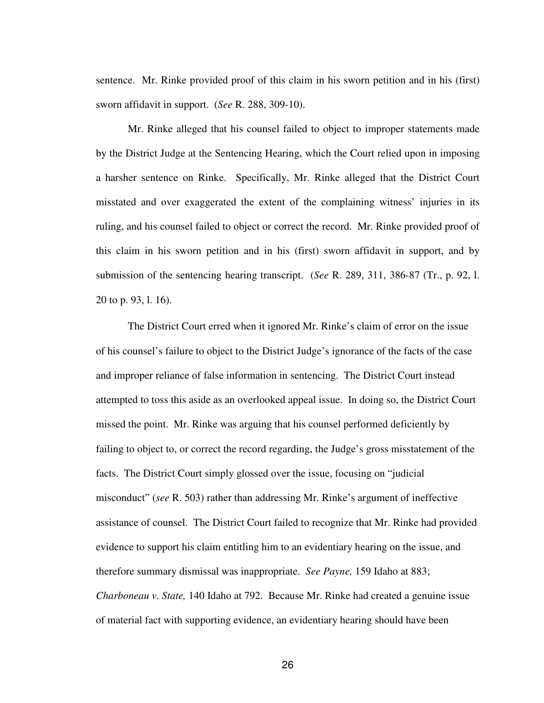sentence. Mr. Rinke provided proof of this claim in his sworn petition and in his (first) sworn affidavit in support. (*See* R. 288, 309-10).

Mr. Rinke alleged that his counsel failed to object to improper statements made by the District Judge at the Sentencing Hearing, which the Court relied upon in imposing a harsher sentence on Rinke. Specifically, Mr. Rinke alleged that the District Court misstated and over exaggerated the extent of the complaining witness' injuries in its ruling, and his counsel failed to object or correct the record. Mr. Rinke provided proof of this claim in his sworn petition and in his (first) sworn affidavit in support, and by submission of the sentencing hearing transcript. (*See* R. 289, 311, 386-87 (Tr., p. 92, l. 20 to p. 93, l. 16).

The District Court erred when it ignored Mr. Rinke's claim of error on the issue of his counsel's failure to object to the District Judge's ignorance of the facts of the case and improper reliance of false information in sentencing. The District Court instead attempted to toss this aside as an overlooked appeal issue. In doing so, the District Court missed the point. Mr. Rinke was arguing that his counsel performed deficiently by failing to object to, or correct the record regarding, the Judge's gross misstatement of the facts. The District Court simply glossed over the issue, focusing on "judicial misconduct" (*see* R. 503) rather than addressing Mr. Rinke's argument of ineffective assistance of counsel. The District Court failed to recognize that Mr. Rinke had provided evidence to support his claim entitling him to an evidentiary hearing on the issue, and therefore summary dismissal was inappropriate. *See Payne,* 159 Idaho at 883; *Charboneau v. State,* 140 Idaho at 792. Because Mr. Rinke had created a genuine issue of material fact with supporting evidence, an evidentiary hearing should have been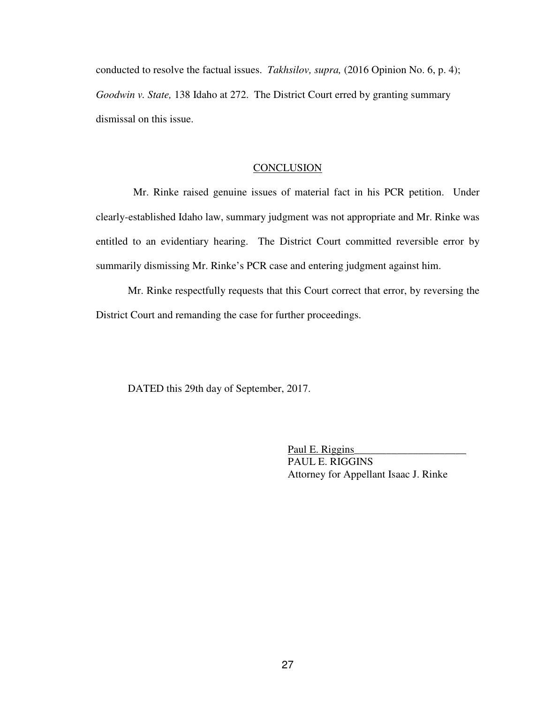conducted to resolve the factual issues. *Takhsilov, supra,* (2016 Opinion No. 6, p. 4); *Goodwin v. State,* 138 Idaho at 272. The District Court erred by granting summary dismissal on this issue.

### **CONCLUSION**

 Mr. Rinke raised genuine issues of material fact in his PCR petition. Under clearly-established Idaho law, summary judgment was not appropriate and Mr. Rinke was entitled to an evidentiary hearing. The District Court committed reversible error by summarily dismissing Mr. Rinke's PCR case and entering judgment against him.

Mr. Rinke respectfully requests that this Court correct that error, by reversing the District Court and remanding the case for further proceedings.

DATED this 29th day of September, 2017.

Paul E. Riggins PAUL E. RIGGINS Attorney for Appellant Isaac J. Rinke